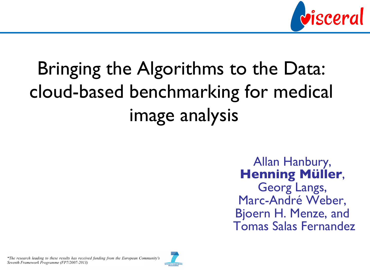

# Bringing the Algorithms to the Data: cloud-based benchmarking for medical image analysis

Allan Hanbury, **Henning Müller**, Georg Langs, Marc-André Weber, Bjoern H. Menze, and Tomas Salas Fernandez

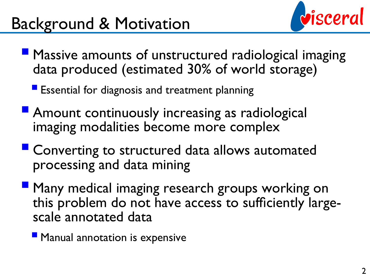### Background & Motivation



- § Massive amounts of unstructured radiological imaging data produced (estimated 30% of world storage)
	- Essential for diagnosis and treatment planning
- Amount continuously increasing as radiological imaging modalities become more complex
- Converting to structured data allows automated processing and data mining
- **By Many medical imaging research groups working on** this problem do not have access to sufficiently largescale annotated data
	- **Manual annotation is expensive**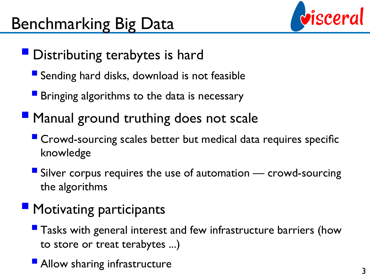

- **Distributing terabytes is hard** 
	- Sending hard disks, download is not feasible
	- Bringing algorithms to the data is necessary
- **Manual ground truthing does not scale** 
	- Crowd-sourcing scales better but medical data requires specific knowledge
	- Silver corpus requires the use of automation  $-$  crowd-sourcing the algorithms

### **• Motivating participants**

- Tasks with general interest and few infrastructure barriers (how to store or treat terabytes ...)
- Allow sharing infrastructure 3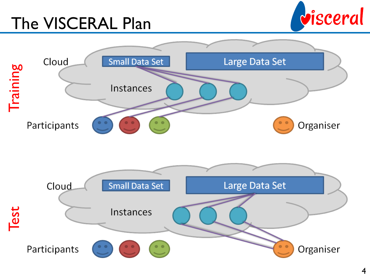## The VISCERAL Plan



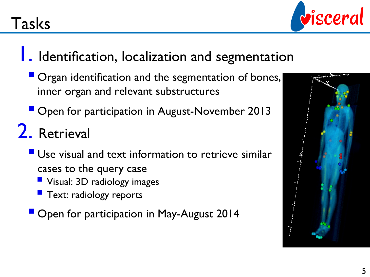

#### **1.** Identification, localization and segmentation

- § Organ identification and the segmentation of bones, inner organ and relevant substructures
- Open for participation in August-November 2013

## 2. Retrieval

- Use visual and text information to retrieve similar cases to the query case
	- Visual: 3D radiology images
	- **F** Text: radiology reports

**• Open for participation in May-August 2014** 

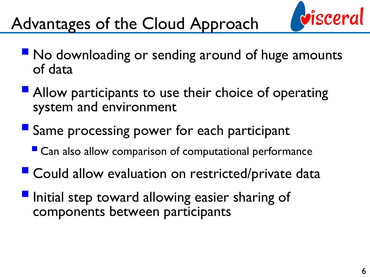

## Advantages of the Cloud Approach

- No downloading or sending around of huge amounts of data
- Allow participants to use their choice of operating system and environment
- Same processing power for each participant
	- Can also allow comparison of computational performance
- Could allow evaluation on restricted/private data
- **Initial step toward allowing easier sharing of** components between participants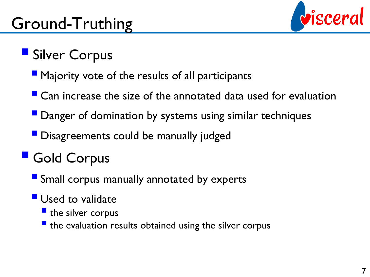

### ■ Silver Corpus

- Majority vote of the results of all participants
- $\blacksquare$  Can increase the size of the annotated data used for evaluation
- Danger of domination by systems using similar techniques
- § Disagreements could be manually judged

### § Gold Corpus

- Small corpus manually annotated by experts
- **Used to validate** 
	- **•** the silver corpus
	- $\blacksquare$  the evaluation results obtained using the silver corpus